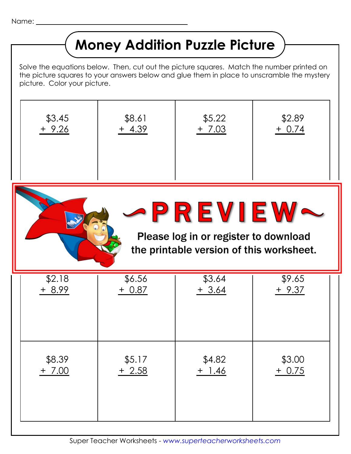Name: \_

## **Money Addition Puzzle Picture**

Solve the equations below. Then, cut out the picture squares. Match the number printed on the picture squares to your answers below and glue them in place to unscramble the mystery picture. Color your picture.

| \$3.45                                                                                       | \$8.61   | \$5.22   | \$2.89   |  |  |
|----------------------------------------------------------------------------------------------|----------|----------|----------|--|--|
| $+9.26$                                                                                      | $+ 4.39$ | $+ 7.03$ | $+ 0.74$ |  |  |
| PREVIEW<br>Please log in or register to download<br>the printable version of this worksheet. |          |          |          |  |  |
| \$2.18                                                                                       | \$6.56   | \$3.64   | \$9.65   |  |  |
| + 8.99                                                                                       | + 0.87   | $+3.64$  | + 9.37   |  |  |

| $$8.39$<br>+ 7.00 | $$5.17$<br>+ 2.58 | $$4.82$<br>$+ 1.46$ | $$3.00$<br>+ 0.75 |
|-------------------|-------------------|---------------------|-------------------|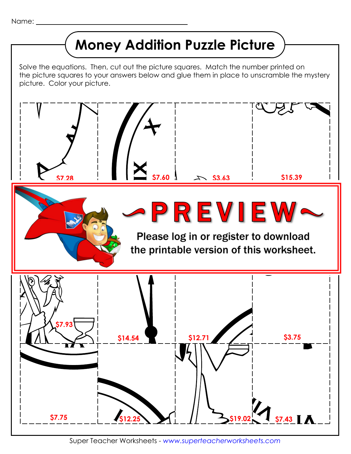## **Money Addition Puzzle Picture**

Solve the equations. Then, cut out the picture squares. Match the number printed on the picture squares to your answers below and glue them in place to unscramble the mystery picture. Color your picture.